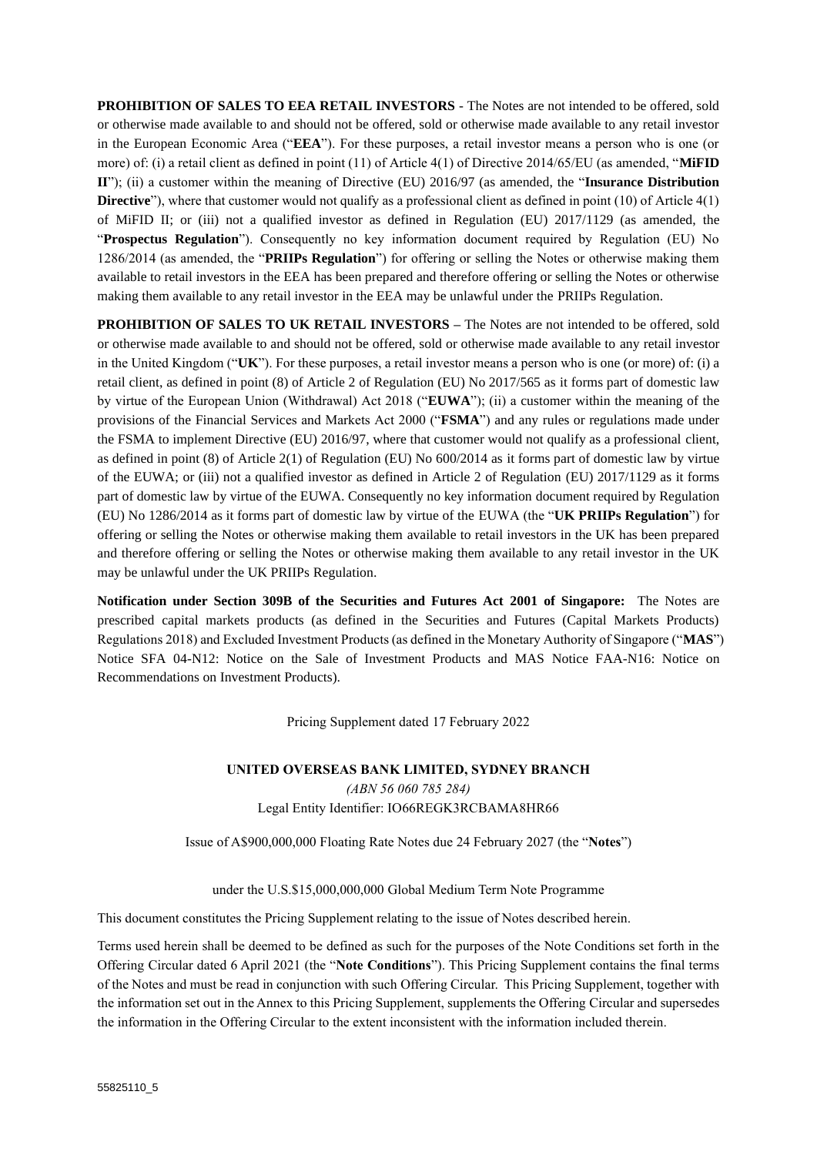**PROHIBITION OF SALES TO EEA RETAIL INVESTORS** - The Notes are not intended to be offered, sold or otherwise made available to and should not be offered, sold or otherwise made available to any retail investor in the European Economic Area ("**EEA**"). For these purposes, a retail investor means a person who is one (or more) of: (i) a retail client as defined in point (11) of Article 4(1) of Directive 2014/65/EU (as amended, "**MiFID II**"); (ii) a customer within the meaning of Directive (EU) 2016/97 (as amended, the "**Insurance Distribution Directive**"), where that customer would not qualify as a professional client as defined in point (10) of Article 4(1) of MiFID II; or (iii) not a qualified investor as defined in Regulation (EU) 2017/1129 (as amended, the "**Prospectus Regulation**"). Consequently no key information document required by Regulation (EU) No 1286/2014 (as amended, the "**PRIIPs Regulation**") for offering or selling the Notes or otherwise making them available to retail investors in the EEA has been prepared and therefore offering or selling the Notes or otherwise making them available to any retail investor in the EEA may be unlawful under the PRIIPs Regulation.

**PROHIBITION OF SALES TO UK RETAIL INVESTORS –** The Notes are not intended to be offered, sold or otherwise made available to and should not be offered, sold or otherwise made available to any retail investor in the United Kingdom ("**UK**"). For these purposes, a retail investor means a person who is one (or more) of: (i) a retail client, as defined in point (8) of Article 2 of Regulation (EU) No 2017/565 as it forms part of domestic law by virtue of the European Union (Withdrawal) Act 2018 ("**EUWA**"); (ii) a customer within the meaning of the provisions of the Financial Services and Markets Act 2000 ("**FSMA**") and any rules or regulations made under the FSMA to implement Directive (EU) 2016/97, where that customer would not qualify as a professional client, as defined in point (8) of Article 2(1) of Regulation (EU) No 600/2014 as it forms part of domestic law by virtue of the EUWA; or (iii) not a qualified investor as defined in Article 2 of Regulation (EU) 2017/1129 as it forms part of domestic law by virtue of the EUWA. Consequently no key information document required by Regulation (EU) No 1286/2014 as it forms part of domestic law by virtue of the EUWA (the "**UK PRIIPs Regulation**") for offering or selling the Notes or otherwise making them available to retail investors in the UK has been prepared and therefore offering or selling the Notes or otherwise making them available to any retail investor in the UK may be unlawful under the UK PRIIPs Regulation.

**Notification under Section 309B of the Securities and Futures Act 2001 of Singapore:** The Notes are prescribed capital markets products (as defined in the Securities and Futures (Capital Markets Products) Regulations 2018) and Excluded Investment Products (as defined in the Monetary Authority of Singapore ("**MAS**") Notice SFA 04-N12: Notice on the Sale of Investment Products and MAS Notice FAA-N16: Notice on Recommendations on Investment Products).

Pricing Supplement dated 17 February 2022

**UNITED OVERSEAS BANK LIMITED, SYDNEY BRANCH** *(ABN 56 060 785 284)* Legal Entity Identifier: IO66REGK3RCBAMA8HR66

Issue of A\$900,000,000 Floating Rate Notes due 24 February 2027 (the "**Notes**")

under the U.S.\$15,000,000,000 Global Medium Term Note Programme

This document constitutes the Pricing Supplement relating to the issue of Notes described herein.

Terms used herein shall be deemed to be defined as such for the purposes of the Note Conditions set forth in the Offering Circular dated 6 April 2021 (the "**Note Conditions**"). This Pricing Supplement contains the final terms of the Notes and must be read in conjunction with such Offering Circular. This Pricing Supplement, together with the information set out in the Annex to this Pricing Supplement, supplements the Offering Circular and supersedes the information in the Offering Circular to the extent inconsistent with the information included therein.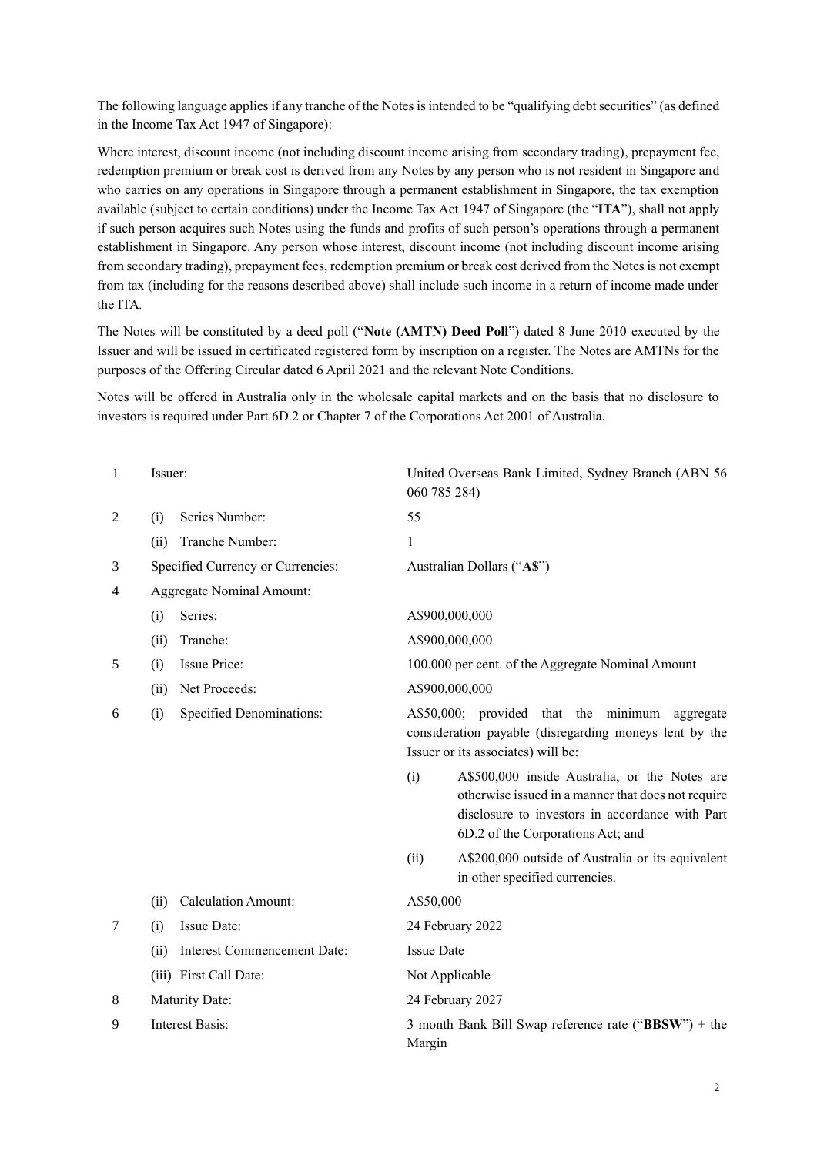The following language applies if any tranche of the Notes is intended to be "qualifying debt securities" (as defined in the Income Tax Act 1947 of Singapore):

Where interest, discount income (not including discount income arising from secondary trading), prepayment fee, redemption premium or break cost is derived from any Notes by any person who is not resident in Singapore and who carries on any operations in Singapore through a permanent establishment in Singapore, the tax exemption available (subject to certain conditions) under the Income Tax Act 1947 of Singapore (the "**ITA**"), shall not apply if such person acquires such Notes using the funds and profits of such person's operations through a permanent establishment in Singapore. Any person whose interest, discount income (not including discount income arising from secondary trading), prepayment fees, redemption premium or break cost derived from the Notes is not exempt from tax (including for the reasons described above) shall include such income in a return of income made under the ITA*.*

The Notes will be constituted by a deed poll ("**Note (AMTN) Deed Poll**") dated 8 June 2010 executed by the Issuer and will be issued in certificated registered form by inscription on a register. The Notes are AMTNs for the purposes of the Offering Circular dated 6 April 2021 and the relevant Note Conditions.

Notes will be offered in Australia only in the wholesale capital markets and on the basis that no disclosure to investors is required under Part 6D.2 or Chapter 7 of the Corporations Act 2001 of Australia.

| 1              | Issuer:                |                                   | 060 785 284)      | United Overseas Bank Limited, Sydney Branch (ABN 56                                                                                                                                         |
|----------------|------------------------|-----------------------------------|-------------------|---------------------------------------------------------------------------------------------------------------------------------------------------------------------------------------------|
| 2              | (i)                    | Series Number:                    | 55                |                                                                                                                                                                                             |
|                | (ii)                   | Tranche Number:                   | 1                 |                                                                                                                                                                                             |
| 3              |                        | Specified Currency or Currencies: |                   | Australian Dollars ("A\$")                                                                                                                                                                  |
| $\overline{4}$ |                        | <b>Aggregate Nominal Amount:</b>  |                   |                                                                                                                                                                                             |
|                | (i)                    | Series:                           | A\$900,000,000    |                                                                                                                                                                                             |
|                | (ii)                   | Tranche:                          | A\$900,000,000    |                                                                                                                                                                                             |
| 5              | (i)                    | <b>Issue Price:</b>               |                   | 100.000 per cent. of the Aggregate Nominal Amount                                                                                                                                           |
|                | (ii)                   | Net Proceeds:                     | A\$900,000,000    |                                                                                                                                                                                             |
| 6              | (i)                    | Specified Denominations:          |                   | A\$50,000; provided that the minimum aggregate<br>consideration payable (disregarding moneys lent by the<br>Issuer or its associates) will be:                                              |
|                |                        |                                   | (i)               | A\$500,000 inside Australia, or the Notes are<br>otherwise issued in a manner that does not require<br>disclosure to investors in accordance with Part<br>6D.2 of the Corporations Act; and |
|                |                        |                                   | (ii)              | A\$200,000 outside of Australia or its equivalent<br>in other specified currencies.                                                                                                         |
|                | (ii)                   | <b>Calculation Amount:</b>        | A\$50,000         |                                                                                                                                                                                             |
| 7              | (i)                    | Issue Date:                       |                   | 24 February 2022                                                                                                                                                                            |
|                | (ii)                   | Interest Commencement Date:       | <b>Issue Date</b> |                                                                                                                                                                                             |
|                |                        | (iii) First Call Date:            | Not Applicable    |                                                                                                                                                                                             |
| 8              | Maturity Date:         |                                   |                   | 24 February 2027                                                                                                                                                                            |
| 9              | <b>Interest Basis:</b> |                                   | Margin            | 3 month Bank Bill Swap reference rate (" $BBSW$ ") + the                                                                                                                                    |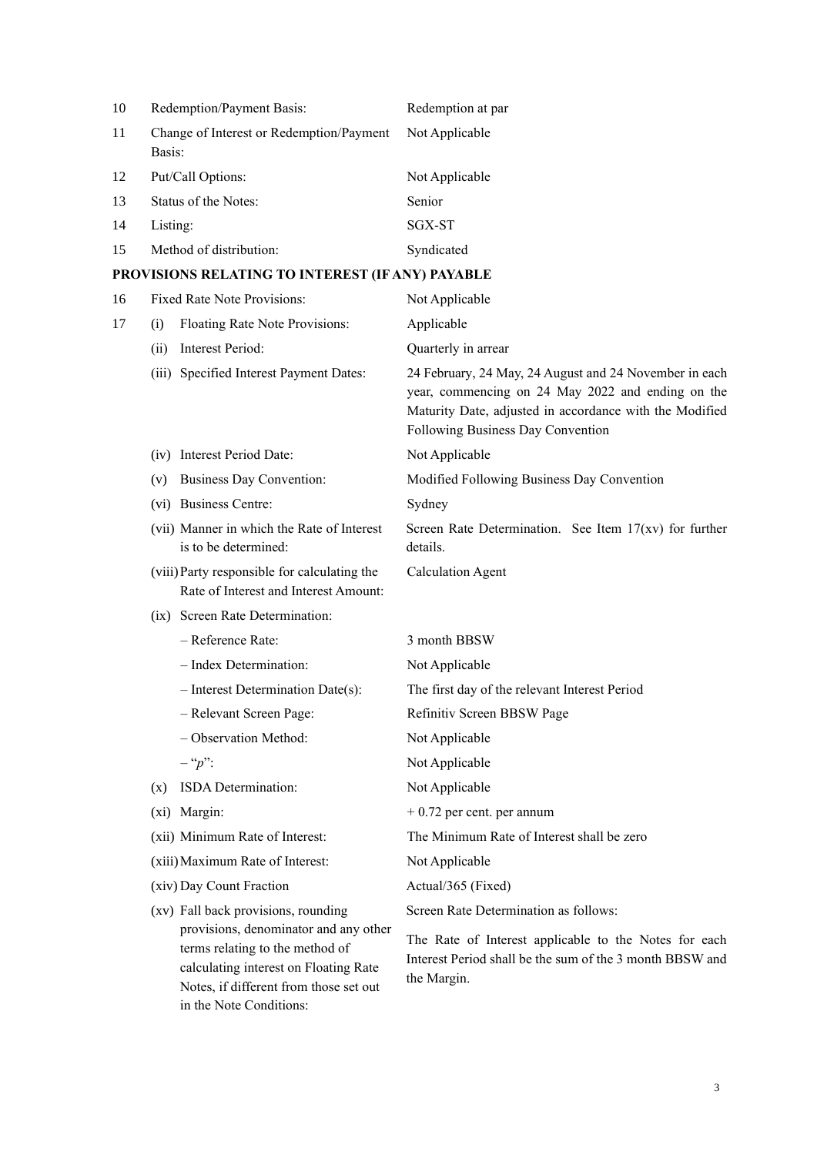| 10  | Redemption/Payment Basis:                          | Redemption at par |
|-----|----------------------------------------------------|-------------------|
| -11 | Change of Interest or Redemption/Payment<br>Basis: | Not Applicable    |
| 12  | Put/Call Options:                                  | Not Applicable    |
| 13  | Status of the Notes:                               | Senior            |
| 14  | Listing:                                           | SGX-ST            |
| 15  | Method of distribution:                            | Syndicated        |
|     |                                                    |                   |

# **PROVISIONS RELATING TO INTEREST (IF ANY) PAYABLE**

Notes, if different from those set out

in the Note Conditions:

| 16 |      | Fixed Rate Note Provisions:                                                                                       | Not Applicable                                                                                                                                                                                              |
|----|------|-------------------------------------------------------------------------------------------------------------------|-------------------------------------------------------------------------------------------------------------------------------------------------------------------------------------------------------------|
| 17 | (i)  | Floating Rate Note Provisions:                                                                                    | Applicable                                                                                                                                                                                                  |
|    | (ii) | Interest Period:                                                                                                  | Quarterly in arrear                                                                                                                                                                                         |
|    |      | (iii) Specified Interest Payment Dates:                                                                           | 24 February, 24 May, 24 August and 24 November in each<br>year, commencing on 24 May 2022 and ending on the<br>Maturity Date, adjusted in accordance with the Modified<br>Following Business Day Convention |
|    |      | (iv) Interest Period Date:                                                                                        | Not Applicable                                                                                                                                                                                              |
|    |      | (v) Business Day Convention:                                                                                      | Modified Following Business Day Convention                                                                                                                                                                  |
|    |      | (vi) Business Centre:                                                                                             | Sydney                                                                                                                                                                                                      |
|    |      | (vii) Manner in which the Rate of Interest<br>is to be determined:                                                | Screen Rate Determination. See Item $17(xv)$ for further<br>details.                                                                                                                                        |
|    |      | (viii) Party responsible for calculating the<br>Rate of Interest and Interest Amount:                             | <b>Calculation Agent</b>                                                                                                                                                                                    |
|    |      | (ix) Screen Rate Determination:                                                                                   |                                                                                                                                                                                                             |
|    |      | - Reference Rate:                                                                                                 | 3 month BBSW                                                                                                                                                                                                |
|    |      | - Index Determination:                                                                                            | Not Applicable                                                                                                                                                                                              |
|    |      | $-$ Interest Determination Date(s):                                                                               | The first day of the relevant Interest Period                                                                                                                                                               |
|    |      | - Relevant Screen Page:                                                                                           | Refinitiv Screen BBSW Page                                                                                                                                                                                  |
|    |      | - Observation Method:                                                                                             | Not Applicable                                                                                                                                                                                              |
|    |      | $-$ " $p$ ":                                                                                                      | Not Applicable                                                                                                                                                                                              |
|    | (x)  | ISDA Determination:                                                                                               | Not Applicable                                                                                                                                                                                              |
|    |      | (xi) Margin:                                                                                                      | $+0.72$ per cent. per annum                                                                                                                                                                                 |
|    |      | (xii) Minimum Rate of Interest:                                                                                   | The Minimum Rate of Interest shall be zero                                                                                                                                                                  |
|    |      | (xiii) Maximum Rate of Interest:                                                                                  | Not Applicable                                                                                                                                                                                              |
|    |      | (xiv) Day Count Fraction                                                                                          | Actual/365 (Fixed)                                                                                                                                                                                          |
|    |      | (xv) Fall back provisions, rounding                                                                               | Screen Rate Determination as follows:                                                                                                                                                                       |
|    |      | provisions, denominator and any other<br>terms relating to the method of<br>calculating interest on Floating Rate | The Rate of Interest applicable to the Notes for each<br>Interest Period shall be the sum of the 3 month BBSW and                                                                                           |

the Margin.

3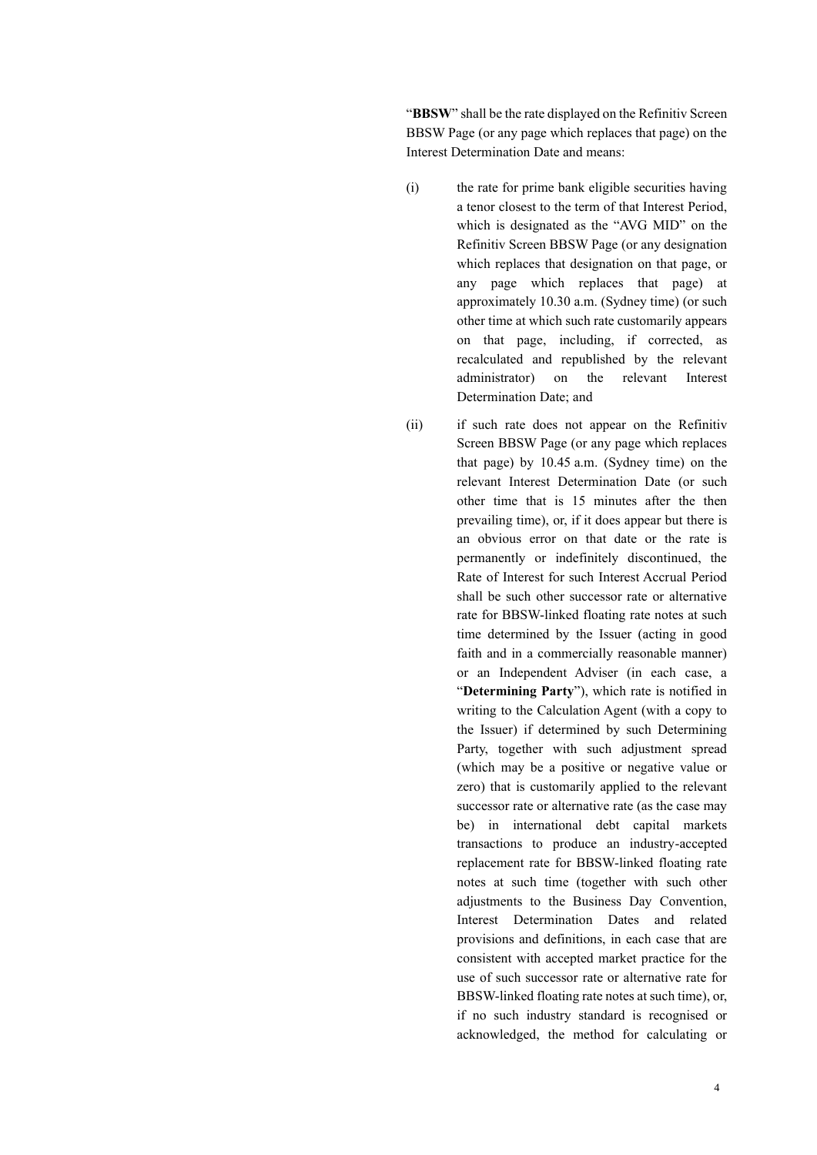"**BBSW**" shall be the rate displayed on the Refinitiv Screen BBSW Page (or any page which replaces that page) on the Interest Determination Date and means:

- (i) the rate for prime bank eligible securities having a tenor closest to the term of that Interest Period, which is designated as the "AVG MID" on the Refinitiv Screen BBSW Page (or any designation which replaces that designation on that page, or any page which replaces that page) at approximately 10.30 a.m. (Sydney time) (or such other time at which such rate customarily appears on that page, including, if corrected, as recalculated and republished by the relevant administrator) on the relevant Interest Determination Date; and
- (ii) if such rate does not appear on the Refinitiv Screen BBSW Page (or any page which replaces that page) by 10.45 a.m. (Sydney time) on the relevant Interest Determination Date (or such other time that is 15 minutes after the then prevailing time), or, if it does appear but there is an obvious error on that date or the rate is permanently or indefinitely discontinued, the Rate of Interest for such Interest Accrual Period shall be such other successor rate or alternative rate for BBSW-linked floating rate notes at such time determined by the Issuer (acting in good faith and in a commercially reasonable manner) or an Independent Adviser (in each case, a "**Determining Party**"), which rate is notified in writing to the Calculation Agent (with a copy to the Issuer) if determined by such Determining Party, together with such adjustment spread (which may be a positive or negative value or zero) that is customarily applied to the relevant successor rate or alternative rate (as the case may be) in international debt capital markets transactions to produce an industry-accepted replacement rate for BBSW-linked floating rate notes at such time (together with such other adjustments to the Business Day Convention, Interest Determination Dates and related provisions and definitions, in each case that are consistent with accepted market practice for the use of such successor rate or alternative rate for BBSW-linked floating rate notes at such time), or, if no such industry standard is recognised or acknowledged, the method for calculating or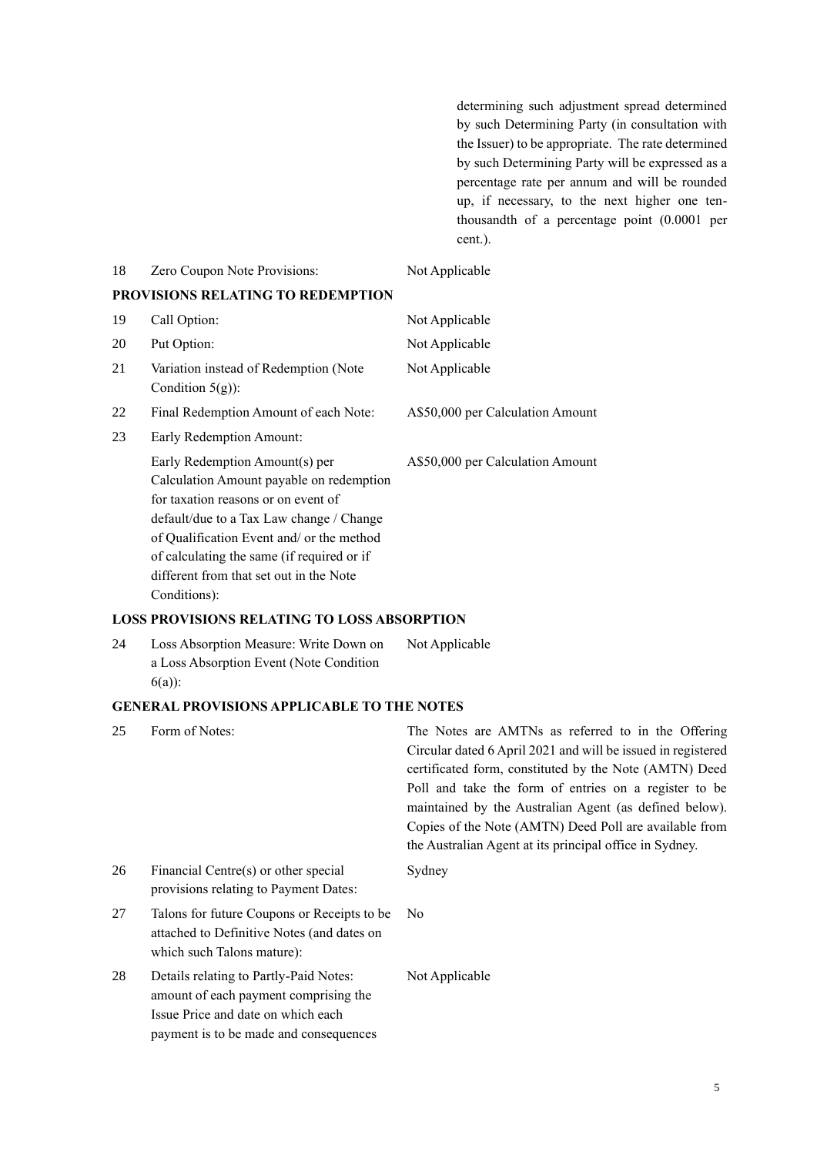determining such adjustment spread determined by such Determining Party (in consultation with the Issuer) to be appropriate. The rate determined by such Determining Party will be expressed as a percentage rate per annum and will be rounded up, if necessary, to the next higher one tenthousandth of a percentage point (0.0001 per cent.).

| 18 | Zero Coupon Note Provisions:                                                                                                                                                                                                                                                                                        |                                                                                                                                                                                                                                                                                                                                                                                                                      |
|----|---------------------------------------------------------------------------------------------------------------------------------------------------------------------------------------------------------------------------------------------------------------------------------------------------------------------|----------------------------------------------------------------------------------------------------------------------------------------------------------------------------------------------------------------------------------------------------------------------------------------------------------------------------------------------------------------------------------------------------------------------|
|    |                                                                                                                                                                                                                                                                                                                     | Not Applicable                                                                                                                                                                                                                                                                                                                                                                                                       |
|    | PROVISIONS RELATING TO REDEMPTION                                                                                                                                                                                                                                                                                   |                                                                                                                                                                                                                                                                                                                                                                                                                      |
| 19 | Call Option:                                                                                                                                                                                                                                                                                                        | Not Applicable                                                                                                                                                                                                                                                                                                                                                                                                       |
| 20 | Put Option:                                                                                                                                                                                                                                                                                                         | Not Applicable                                                                                                                                                                                                                                                                                                                                                                                                       |
| 21 | Variation instead of Redemption (Note<br>Condition $5(g)$ :                                                                                                                                                                                                                                                         | Not Applicable                                                                                                                                                                                                                                                                                                                                                                                                       |
| 22 | Final Redemption Amount of each Note:                                                                                                                                                                                                                                                                               | A\$50,000 per Calculation Amount                                                                                                                                                                                                                                                                                                                                                                                     |
| 23 | Early Redemption Amount:                                                                                                                                                                                                                                                                                            |                                                                                                                                                                                                                                                                                                                                                                                                                      |
|    | Early Redemption Amount(s) per<br>Calculation Amount payable on redemption<br>for taxation reasons or on event of<br>default/due to a Tax Law change / Change<br>of Qualification Event and/ or the method<br>of calculating the same (if required or if<br>different from that set out in the Note<br>Conditions): | A\$50,000 per Calculation Amount                                                                                                                                                                                                                                                                                                                                                                                     |
|    | <b>LOSS PROVISIONS RELATING TO LOSS ABSORPTION</b>                                                                                                                                                                                                                                                                  |                                                                                                                                                                                                                                                                                                                                                                                                                      |
| 24 | Loss Absorption Measure: Write Down on<br>a Loss Absorption Event (Note Condition<br>$6(a)$ :                                                                                                                                                                                                                       | Not Applicable                                                                                                                                                                                                                                                                                                                                                                                                       |
|    | <b>GENERAL PROVISIONS APPLICABLE TO THE NOTES</b>                                                                                                                                                                                                                                                                   |                                                                                                                                                                                                                                                                                                                                                                                                                      |
| 25 | Form of Notes:                                                                                                                                                                                                                                                                                                      | The Notes are AMTNs as referred to in the Offering<br>Circular dated 6 April 2021 and will be issued in registered<br>certificated form, constituted by the Note (AMTN) Deed<br>Poll and take the form of entries on a register to be<br>maintained by the Australian Agent (as defined below).<br>Copies of the Note (AMTN) Deed Poll are available from<br>the Australian Agent at its principal office in Sydney. |
| 26 | Financial Centre(s) or other special<br>provisions relating to Payment Dates:                                                                                                                                                                                                                                       | Sydney                                                                                                                                                                                                                                                                                                                                                                                                               |
| 27 | Talons for future Coupons or Receipts to be<br>attached to Definitive Notes (and dates on<br>which such Talons mature):                                                                                                                                                                                             | No                                                                                                                                                                                                                                                                                                                                                                                                                   |
| 28 | Details relating to Partly-Paid Notes:<br>amount of each payment comprising the<br>Issue Price and date on which each<br>payment is to be made and consequences                                                                                                                                                     | Not Applicable                                                                                                                                                                                                                                                                                                                                                                                                       |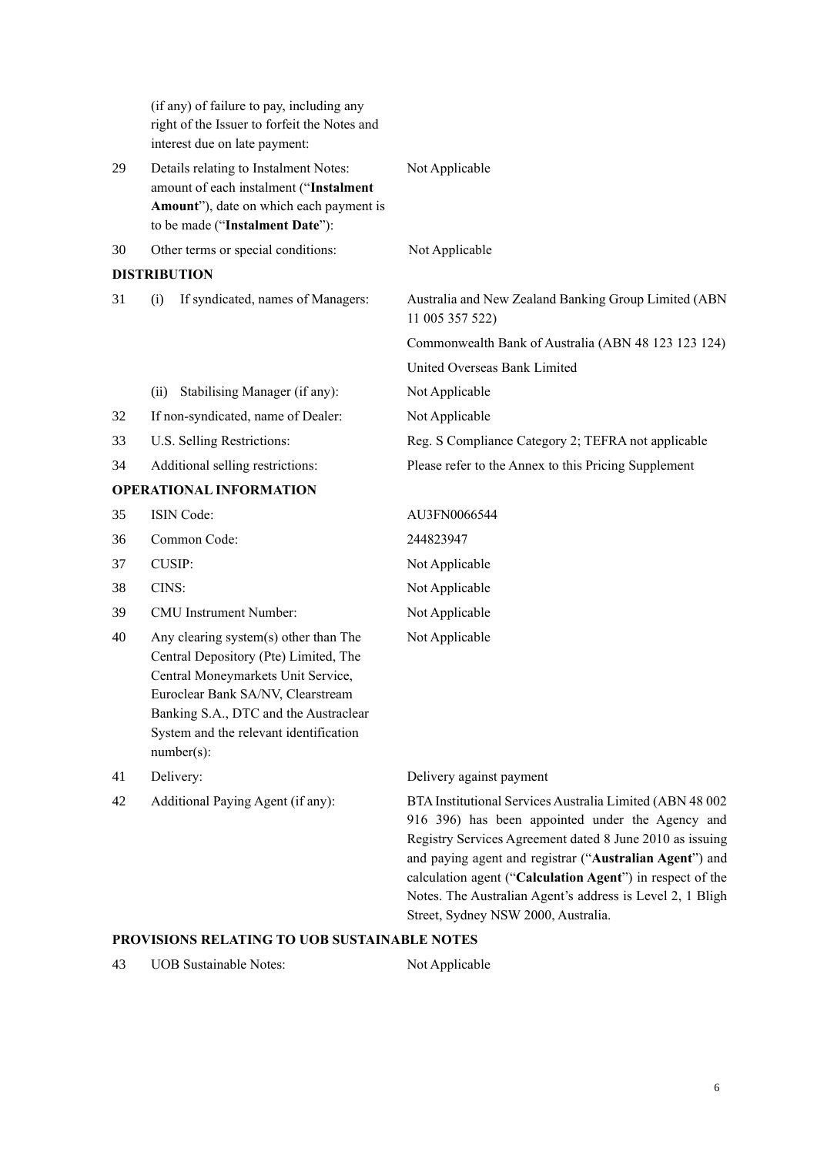|    | (if any) of failure to pay, including any<br>right of the Issuer to forfeit the Notes and<br>interest due on late payment:                                                                                                                                    |                                                                                                                                                                                                                                                                                                                                                                                                      |
|----|---------------------------------------------------------------------------------------------------------------------------------------------------------------------------------------------------------------------------------------------------------------|------------------------------------------------------------------------------------------------------------------------------------------------------------------------------------------------------------------------------------------------------------------------------------------------------------------------------------------------------------------------------------------------------|
| 29 | Details relating to Instalment Notes:<br>amount of each instalment ("Instalment<br>Amount"), date on which each payment is<br>to be made ("Instalment Date"):                                                                                                 | Not Applicable                                                                                                                                                                                                                                                                                                                                                                                       |
| 30 | Other terms or special conditions:                                                                                                                                                                                                                            | Not Applicable                                                                                                                                                                                                                                                                                                                                                                                       |
|    | <b>DISTRIBUTION</b>                                                                                                                                                                                                                                           |                                                                                                                                                                                                                                                                                                                                                                                                      |
| 31 | If syndicated, names of Managers:<br>(i)                                                                                                                                                                                                                      | Australia and New Zealand Banking Group Limited (ABN<br>11 005 357 522)                                                                                                                                                                                                                                                                                                                              |
|    |                                                                                                                                                                                                                                                               | Commonwealth Bank of Australia (ABN 48 123 123 124)                                                                                                                                                                                                                                                                                                                                                  |
|    |                                                                                                                                                                                                                                                               | United Overseas Bank Limited                                                                                                                                                                                                                                                                                                                                                                         |
|    | Stabilising Manager (if any):<br>(ii)                                                                                                                                                                                                                         | Not Applicable                                                                                                                                                                                                                                                                                                                                                                                       |
| 32 | If non-syndicated, name of Dealer:                                                                                                                                                                                                                            | Not Applicable                                                                                                                                                                                                                                                                                                                                                                                       |
| 33 | U.S. Selling Restrictions:                                                                                                                                                                                                                                    | Reg. S Compliance Category 2; TEFRA not applicable                                                                                                                                                                                                                                                                                                                                                   |
| 34 | Additional selling restrictions:                                                                                                                                                                                                                              | Please refer to the Annex to this Pricing Supplement                                                                                                                                                                                                                                                                                                                                                 |
|    | <b>OPERATIONAL INFORMATION</b>                                                                                                                                                                                                                                |                                                                                                                                                                                                                                                                                                                                                                                                      |
| 35 | ISIN Code:                                                                                                                                                                                                                                                    | AU3FN0066544                                                                                                                                                                                                                                                                                                                                                                                         |
| 36 | Common Code:                                                                                                                                                                                                                                                  | 244823947                                                                                                                                                                                                                                                                                                                                                                                            |
| 37 | <b>CUSIP:</b>                                                                                                                                                                                                                                                 | Not Applicable                                                                                                                                                                                                                                                                                                                                                                                       |
| 38 | CINS:                                                                                                                                                                                                                                                         | Not Applicable                                                                                                                                                                                                                                                                                                                                                                                       |
| 39 | CMU Instrument Number:                                                                                                                                                                                                                                        | Not Applicable                                                                                                                                                                                                                                                                                                                                                                                       |
| 40 | Any clearing system(s) other than The<br>Central Depository (Pte) Limited, The<br>Central Moneymarkets Unit Service,<br>Euroclear Bank SA/NV, Clearstream<br>Banking S.A., DTC and the Austraclear<br>System and the relevant identification<br>$number(s)$ : | Not Applicable                                                                                                                                                                                                                                                                                                                                                                                       |
| 41 | Delivery:                                                                                                                                                                                                                                                     | Delivery against payment                                                                                                                                                                                                                                                                                                                                                                             |
| 42 | Additional Paying Agent (if any):                                                                                                                                                                                                                             | BTA Institutional Services Australia Limited (ABN 48 002<br>916 396) has been appointed under the Agency and<br>Registry Services Agreement dated 8 June 2010 as issuing<br>and paying agent and registrar ("Australian Agent") and<br>calculation agent ("Calculation Agent") in respect of the<br>Notes. The Australian Agent's address is Level 2, 1 Bligh<br>Street, Sydney NSW 2000, Australia. |

# **PROVISIONS RELATING TO UOB SUSTAINABLE NOTES**

43 UOB Sustainable Notes: Not Applicable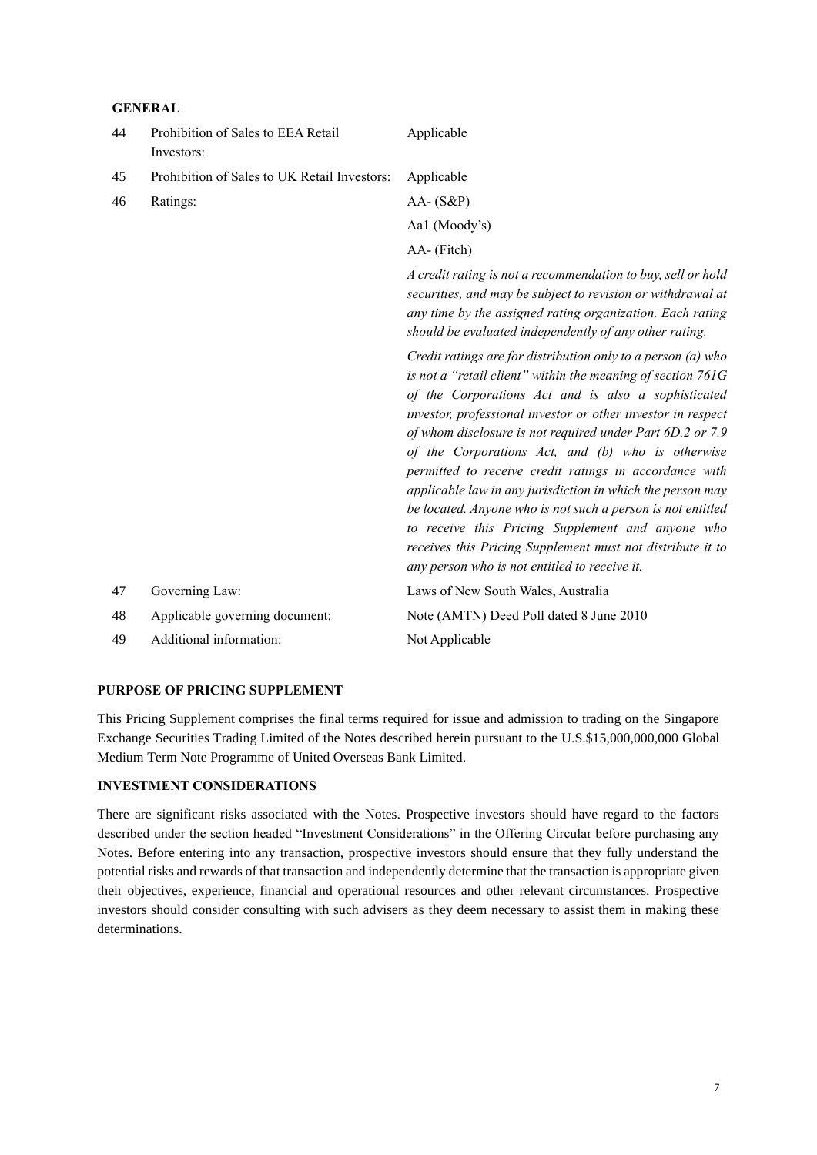## **GENERAL**

| 44 | Prohibition of Sales to EEA Retail<br>Investors: | Applicable                                                                                                                                                                                                                                                                                                                                                                                                                                                                                                                                                                                                                                                                                                                      |
|----|--------------------------------------------------|---------------------------------------------------------------------------------------------------------------------------------------------------------------------------------------------------------------------------------------------------------------------------------------------------------------------------------------------------------------------------------------------------------------------------------------------------------------------------------------------------------------------------------------------------------------------------------------------------------------------------------------------------------------------------------------------------------------------------------|
| 45 | Prohibition of Sales to UK Retail Investors:     | Applicable                                                                                                                                                                                                                                                                                                                                                                                                                                                                                                                                                                                                                                                                                                                      |
| 46 | Ratings:                                         | $AA - (S\&P)$                                                                                                                                                                                                                                                                                                                                                                                                                                                                                                                                                                                                                                                                                                                   |
|    |                                                  | Aal (Moody's)                                                                                                                                                                                                                                                                                                                                                                                                                                                                                                                                                                                                                                                                                                                   |
|    |                                                  | AA- (Fitch)                                                                                                                                                                                                                                                                                                                                                                                                                                                                                                                                                                                                                                                                                                                     |
|    |                                                  | A credit rating is not a recommendation to buy, sell or hold<br>securities, and may be subject to revision or withdrawal at<br>any time by the assigned rating organization. Each rating<br>should be evaluated independently of any other rating.                                                                                                                                                                                                                                                                                                                                                                                                                                                                              |
|    |                                                  | Credit ratings are for distribution only to a person (a) who<br>is not a "retail client" within the meaning of section 761G<br>of the Corporations Act and is also a sophisticated<br>investor, professional investor or other investor in respect<br>of whom disclosure is not required under Part 6D.2 or 7.9<br>of the Corporations Act, and (b) who is otherwise<br>permitted to receive credit ratings in accordance with<br>applicable law in any jurisdiction in which the person may<br>be located. Anyone who is not such a person is not entitled<br>to receive this Pricing Supplement and anyone who<br>receives this Pricing Supplement must not distribute it to<br>any person who is not entitled to receive it. |
| 47 | Governing Law:                                   | Laws of New South Wales, Australia                                                                                                                                                                                                                                                                                                                                                                                                                                                                                                                                                                                                                                                                                              |
| 48 | Applicable governing document:                   | Note (AMTN) Deed Poll dated 8 June 2010                                                                                                                                                                                                                                                                                                                                                                                                                                                                                                                                                                                                                                                                                         |
| 49 | Additional information:                          | Not Applicable                                                                                                                                                                                                                                                                                                                                                                                                                                                                                                                                                                                                                                                                                                                  |

## **PURPOSE OF PRICING SUPPLEMENT**

This Pricing Supplement comprises the final terms required for issue and admission to trading on the Singapore Exchange Securities Trading Limited of the Notes described herein pursuant to the U.S.\$15,000,000,000 Global Medium Term Note Programme of United Overseas Bank Limited.

## **INVESTMENT CONSIDERATIONS**

There are significant risks associated with the Notes. Prospective investors should have regard to the factors described under the section headed "Investment Considerations" in the Offering Circular before purchasing any Notes. Before entering into any transaction, prospective investors should ensure that they fully understand the potential risks and rewards of that transaction and independently determine that the transaction is appropriate given their objectives, experience, financial and operational resources and other relevant circumstances. Prospective investors should consider consulting with such advisers as they deem necessary to assist them in making these determinations.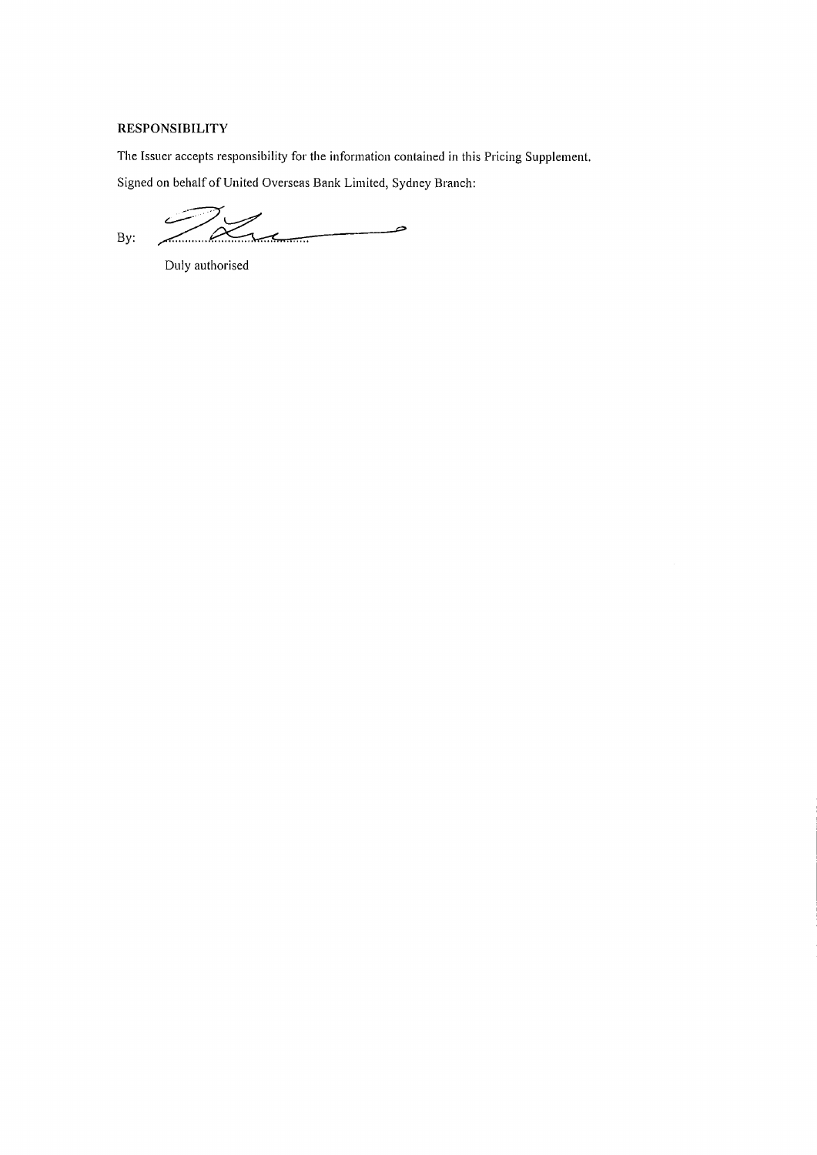# **RESPONSIBILITY**

The Issuer accepts responsibility for the information contained in this Pricing Supplement.

Signed on behalf of United Overseas Bank Limited, Sydney Branch:

فستست  $2\alpha$ By:

Duly authorised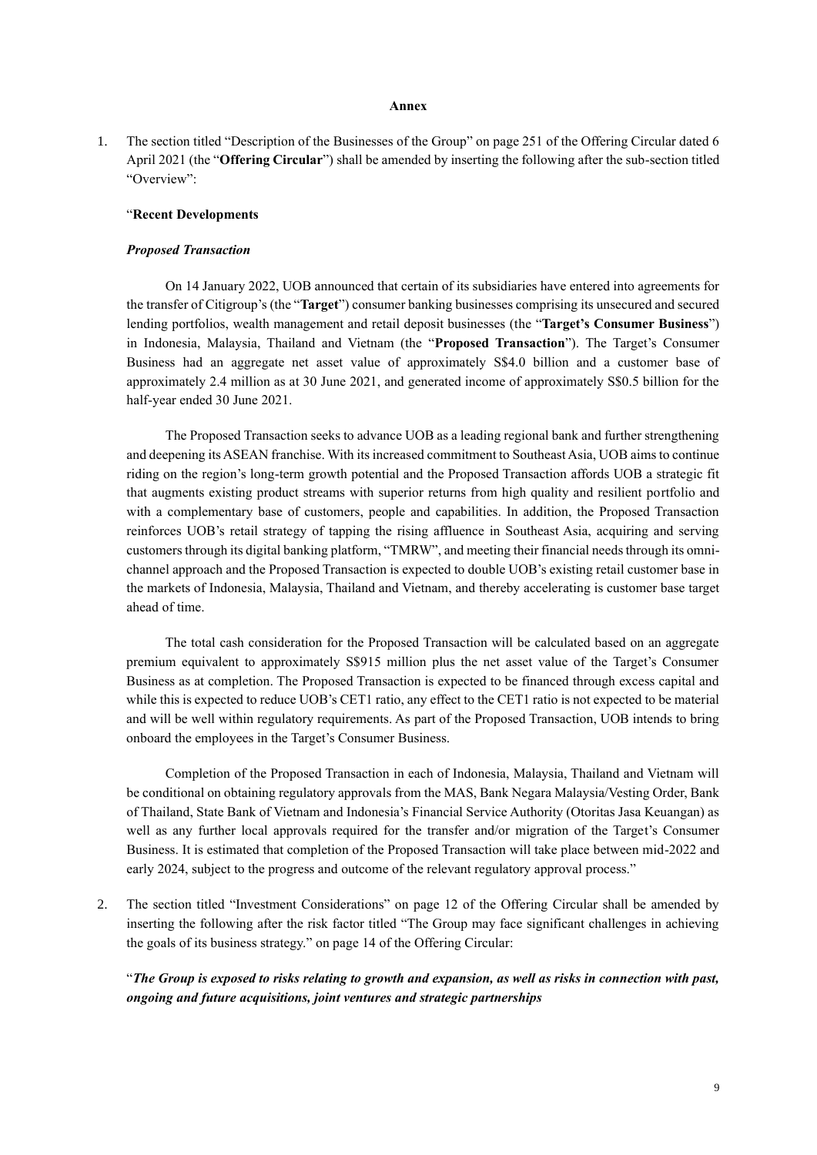#### **Annex**

1. The section titled "Description of the Businesses of the Group" on page 251 of the Offering Circular dated 6 April 2021 (the "**Offering Circular**") shall be amended by inserting the following after the sub-section titled "Overview":

#### "**Recent Developments**

### *Proposed Transaction*

On 14 January 2022, UOB announced that certain of its subsidiaries have entered into agreements for the transfer of Citigroup's (the "**Target**") consumer banking businesses comprising its unsecured and secured lending portfolios, wealth management and retail deposit businesses (the "**Target's Consumer Business**") in Indonesia, Malaysia, Thailand and Vietnam (the "**Proposed Transaction**"). The Target's Consumer Business had an aggregate net asset value of approximately S\$4.0 billion and a customer base of approximately 2.4 million as at 30 June 2021, and generated income of approximately S\$0.5 billion for the half-year ended 30 June 2021.

The Proposed Transaction seeks to advance UOB as a leading regional bank and further strengthening and deepening its ASEAN franchise. With its increased commitment to Southeast Asia, UOB aims to continue riding on the region's long-term growth potential and the Proposed Transaction affords UOB a strategic fit that augments existing product streams with superior returns from high quality and resilient portfolio and with a complementary base of customers, people and capabilities. In addition, the Proposed Transaction reinforces UOB's retail strategy of tapping the rising affluence in Southeast Asia, acquiring and serving customers through its digital banking platform, "TMRW", and meeting their financial needs through its omnichannel approach and the Proposed Transaction is expected to double UOB's existing retail customer base in the markets of Indonesia, Malaysia, Thailand and Vietnam, and thereby accelerating is customer base target ahead of time.

The total cash consideration for the Proposed Transaction will be calculated based on an aggregate premium equivalent to approximately S\$915 million plus the net asset value of the Target's Consumer Business as at completion. The Proposed Transaction is expected to be financed through excess capital and while this is expected to reduce UOB's CET1 ratio, any effect to the CET1 ratio is not expected to be material and will be well within regulatory requirements. As part of the Proposed Transaction, UOB intends to bring onboard the employees in the Target's Consumer Business.

Completion of the Proposed Transaction in each of Indonesia, Malaysia, Thailand and Vietnam will be conditional on obtaining regulatory approvals from the MAS, Bank Negara Malaysia/Vesting Order, Bank of Thailand, State Bank of Vietnam and Indonesia's Financial Service Authority (Otoritas Jasa Keuangan) as well as any further local approvals required for the transfer and/or migration of the Target's Consumer Business. It is estimated that completion of the Proposed Transaction will take place between mid-2022 and early 2024, subject to the progress and outcome of the relevant regulatory approval process."

2. The section titled "Investment Considerations" on page 12 of the Offering Circular shall be amended by inserting the following after the risk factor titled "The Group may face significant challenges in achieving the goals of its business strategy." on page 14 of the Offering Circular:

"*The Group is exposed to risks relating to growth and expansion, as well as risks in connection with past, ongoing and future acquisitions, joint ventures and strategic partnerships*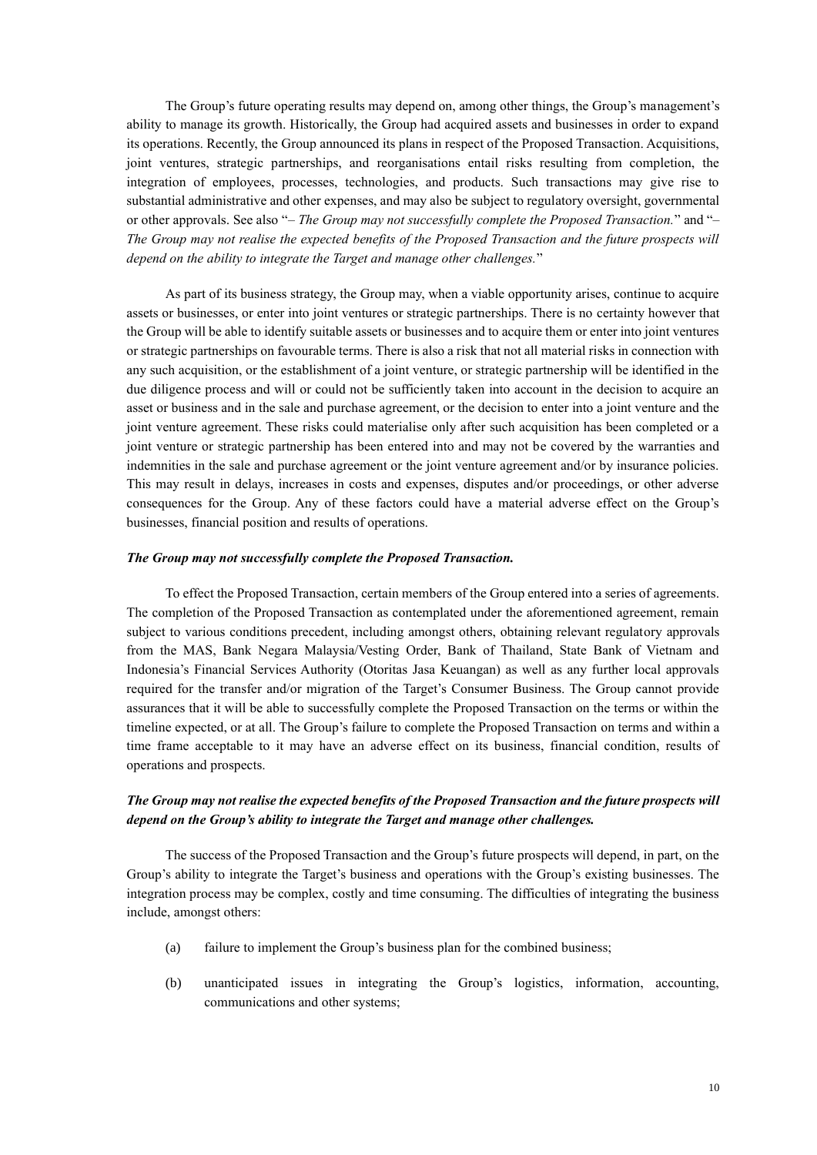The Group's future operating results may depend on, among other things, the Group's management's ability to manage its growth. Historically, the Group had acquired assets and businesses in order to expand its operations. Recently, the Group announced its plans in respect of the Proposed Transaction. Acquisitions, joint ventures, strategic partnerships, and reorganisations entail risks resulting from completion, the integration of employees, processes, technologies, and products. Such transactions may give rise to substantial administrative and other expenses, and may also be subject to regulatory oversight, governmental or other approvals. See also "*– The Group may not successfully complete the Proposed Transaction.*" and "*– The Group may not realise the expected benefits of the Proposed Transaction and the future prospects will depend on the ability to integrate the Target and manage other challenges.*"

As part of its business strategy, the Group may, when a viable opportunity arises, continue to acquire assets or businesses, or enter into joint ventures or strategic partnerships. There is no certainty however that the Group will be able to identify suitable assets or businesses and to acquire them or enter into joint ventures or strategic partnerships on favourable terms. There is also a risk that not all material risks in connection with any such acquisition, or the establishment of a joint venture, or strategic partnership will be identified in the due diligence process and will or could not be sufficiently taken into account in the decision to acquire an asset or business and in the sale and purchase agreement, or the decision to enter into a joint venture and the joint venture agreement. These risks could materialise only after such acquisition has been completed or a joint venture or strategic partnership has been entered into and may not be covered by the warranties and indemnities in the sale and purchase agreement or the joint venture agreement and/or by insurance policies. This may result in delays, increases in costs and expenses, disputes and/or proceedings, or other adverse consequences for the Group. Any of these factors could have a material adverse effect on the Group's businesses, financial position and results of operations.

### *The Group may not successfully complete the Proposed Transaction.*

To effect the Proposed Transaction, certain members of the Group entered into a series of agreements. The completion of the Proposed Transaction as contemplated under the aforementioned agreement, remain subject to various conditions precedent, including amongst others, obtaining relevant regulatory approvals from the MAS, Bank Negara Malaysia/Vesting Order, Bank of Thailand, State Bank of Vietnam and Indonesia's Financial Services Authority (Otoritas Jasa Keuangan) as well as any further local approvals required for the transfer and/or migration of the Target's Consumer Business. The Group cannot provide assurances that it will be able to successfully complete the Proposed Transaction on the terms or within the timeline expected, or at all. The Group's failure to complete the Proposed Transaction on terms and within a time frame acceptable to it may have an adverse effect on its business, financial condition, results of operations and prospects.

# *The Group may not realise the expected benefits of the Proposed Transaction and the future prospects will depend on the Group's ability to integrate the Target and manage other challenges.*

The success of the Proposed Transaction and the Group's future prospects will depend, in part, on the Group's ability to integrate the Target's business and operations with the Group's existing businesses. The integration process may be complex, costly and time consuming. The difficulties of integrating the business include, amongst others:

- (a) failure to implement the Group's business plan for the combined business;
- (b) unanticipated issues in integrating the Group's logistics, information, accounting, communications and other systems;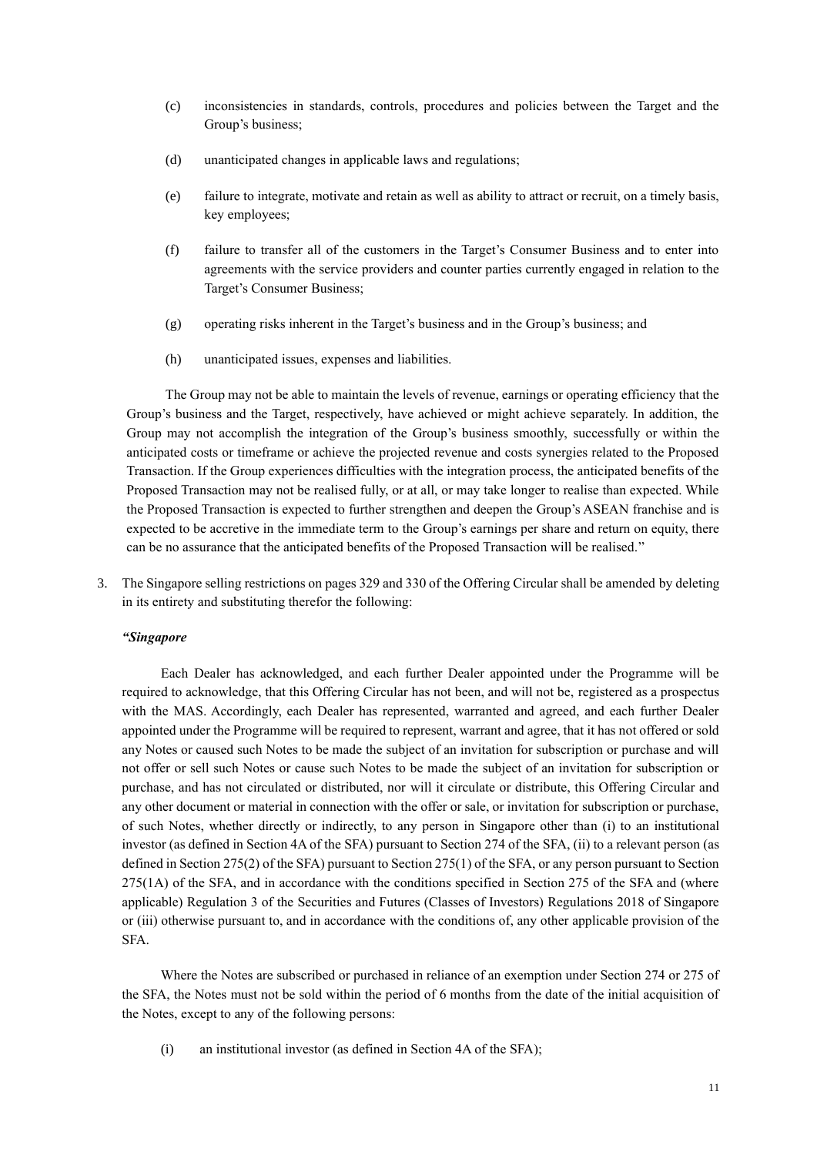- (c) inconsistencies in standards, controls, procedures and policies between the Target and the Group's business;
- (d) unanticipated changes in applicable laws and regulations;
- (e) failure to integrate, motivate and retain as well as ability to attract or recruit, on a timely basis, key employees;
- (f) failure to transfer all of the customers in the Target's Consumer Business and to enter into agreements with the service providers and counter parties currently engaged in relation to the Target's Consumer Business;
- (g) operating risks inherent in the Target's business and in the Group's business; and
- (h) unanticipated issues, expenses and liabilities.

The Group may not be able to maintain the levels of revenue, earnings or operating efficiency that the Group's business and the Target, respectively, have achieved or might achieve separately. In addition, the Group may not accomplish the integration of the Group's business smoothly, successfully or within the anticipated costs or timeframe or achieve the projected revenue and costs synergies related to the Proposed Transaction. If the Group experiences difficulties with the integration process, the anticipated benefits of the Proposed Transaction may not be realised fully, or at all, or may take longer to realise than expected. While the Proposed Transaction is expected to further strengthen and deepen the Group's ASEAN franchise and is expected to be accretive in the immediate term to the Group's earnings per share and return on equity, there can be no assurance that the anticipated benefits of the Proposed Transaction will be realised."

3. The Singapore selling restrictions on pages 329 and 330 of the Offering Circular shall be amended by deleting in its entirety and substituting therefor the following:

## *"Singapore*

Each Dealer has acknowledged, and each further Dealer appointed under the Programme will be required to acknowledge, that this Offering Circular has not been, and will not be, registered as a prospectus with the MAS. Accordingly, each Dealer has represented, warranted and agreed, and each further Dealer appointed under the Programme will be required to represent, warrant and agree, that it has not offered or sold any Notes or caused such Notes to be made the subject of an invitation for subscription or purchase and will not offer or sell such Notes or cause such Notes to be made the subject of an invitation for subscription or purchase, and has not circulated or distributed, nor will it circulate or distribute, this Offering Circular and any other document or material in connection with the offer or sale, or invitation for subscription or purchase, of such Notes, whether directly or indirectly, to any person in Singapore other than (i) to an institutional investor (as defined in Section 4A of the SFA) pursuant to Section 274 of the SFA, (ii) to a relevant person (as defined in Section 275(2) of the SFA) pursuant to Section 275(1) of the SFA, or any person pursuant to Section 275(1A) of the SFA, and in accordance with the conditions specified in Section 275 of the SFA and (where applicable) Regulation 3 of the Securities and Futures (Classes of Investors) Regulations 2018 of Singapore or (iii) otherwise pursuant to, and in accordance with the conditions of, any other applicable provision of the SFA.

Where the Notes are subscribed or purchased in reliance of an exemption under Section 274 or 275 of the SFA, the Notes must not be sold within the period of 6 months from the date of the initial acquisition of the Notes, except to any of the following persons:

(i) an institutional investor (as defined in Section 4A of the SFA);